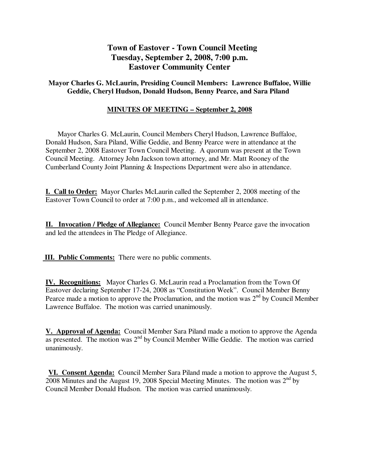# **Town of Eastover - Town Council Meeting Tuesday, September 2, 2008, 7:00 p.m. Eastover Community Center**

## **Mayor Charles G. McLaurin, Presiding Council Members: Lawrence Buffaloe, Willie Geddie, Cheryl Hudson, Donald Hudson, Benny Pearce, and Sara Piland**

## **MINUTES OF MEETING – September 2, 2008**

 Mayor Charles G. McLaurin, Council Members Cheryl Hudson, Lawrence Buffaloe, Donald Hudson, Sara Piland, Willie Geddie, and Benny Pearce were in attendance at the September 2, 2008 Eastover Town Council Meeting. A quorum was present at the Town Council Meeting. Attorney John Jackson town attorney, and Mr. Matt Rooney of the Cumberland County Joint Planning & Inspections Department were also in attendance.

**I. Call to Order:** Mayor Charles McLaurin called the September 2, 2008 meeting of the Eastover Town Council to order at 7:00 p.m., and welcomed all in attendance.

**II. Invocation / Pledge of Allegiance:** Council Member Benny Pearce gave the invocation and led the attendees in The Pledge of Allegiance.

 **III. Public Comments:** There were no public comments.

**IV. Recognitions:** Mayor Charles G. McLaurin read a Proclamation from the Town Of Eastover declaring September 17-24, 2008 as "Constitution Week". Council Member Benny Pearce made a motion to approve the Proclamation, and the motion was  $2<sup>nd</sup>$  by Council Member Lawrence Buffaloe. The motion was carried unanimously.

**V. Approval of Agenda:** Council Member Sara Piland made a motion to approve the Agenda as presented. The motion was 2<sup>nd</sup> by Council Member Willie Geddie. The motion was carried unanimously.

**VI. Consent Agenda:** Council Member Sara Piland made a motion to approve the August 5, 2008 Minutes and the August 19, 2008 Special Meeting Minutes. The motion was  $2<sup>nd</sup>$  by Council Member Donald Hudson. The motion was carried unanimously.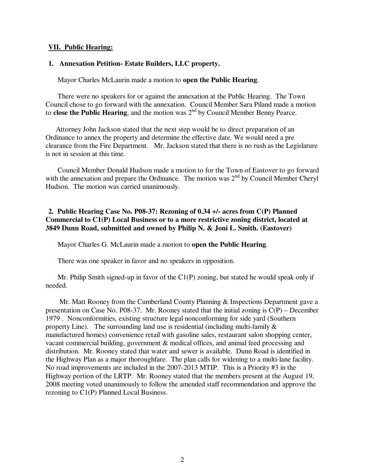#### **VII. Public Hearing:**

#### **1. Annexation Petition- Estate Builders, LLC property.**

Mayor Charles McLaurin made a motion to **open the Public Hearing**.

 There were no speakers for or against the annexation at the Public Hearing. The Town Council chose to go forward with the annexation. Council Member Sara Piland made a motion to **close the Public Hearing**, and the motion was 2<sup>nd</sup> by Council Member Benny Pearce.

 Attorney John Jackson stated that the next step would be to direct preparation of an Ordinance to annex the property and determine the effective date. We would need a pre clearance from the Fire Department. Mr. Jackson stated that there is no rush as the Legislature is not in session at this time.

 Council Member Donald Hudson made a motion to for the Town of Eastover to go forward with the annexation and prepare the Ordinance. The motion was  $2<sup>nd</sup>$  by Council Member Cheryl Hudson. The motion was carried unanimously.

## **2. Public Hearing Case No. P08-37: Rezoning of 0.34 +/- acres from C(P) Planned Commercial to C1(P) Local Business or to a more restrictive zoning district, located at 3849 Dunn Road, submitted and owned by Philip N. & Joni L. Smith. (Eastover)**

Mayor Charles G. McLaurin made a motion to **open the Public Hearing**.

There was one speaker in favor and no speakers in opposition.

 Mr. Philip Smith signed-up in favor of the C1(P) zoning, but stated he would speak only if needed.

 Mr. Matt Rooney from the Cumberland County Planning & Inspections Department gave a presentation on Case No. P08-37. Mr. Rooney stated that the initial zoning is C(P) – December 1979 . Nonconformities, existing structure legal nonconforming for side yard (Southern property Line). The surrounding land use is residential (including multi-family  $\&$ manufactured homes) convenience retail with gasoline sales, restaurant salon shopping center, vacant commercial building, government & medical offices, and animal feed processing and distribution. Mr. Rooney stated that water and sewer is available. Dunn Road is identified in the Highway Plan as a major thoroughfare. The plan calls for widening to a multi-lane facility. No road improvements are included in the 2007-2013 MTIP. This is a Priority #3 in the Highway portion of the LRTP. Mr. Rooney stated that the members present at the August 19, 2008 meeting voted unanimously to follow the amended staff recommendation and approve the rezoning to C1(P) Planned Local Business.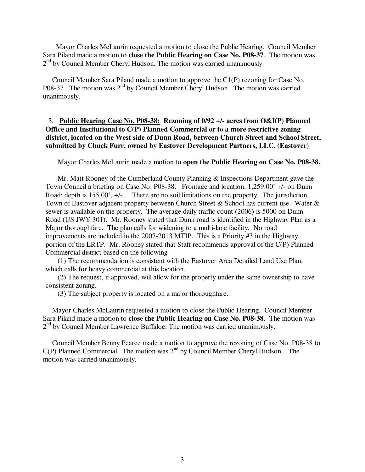Mayor Charles McLaurin requested a motion to close the Public Hearing. Council Member Sara Piland made a motion to **close the Public Hearing on Case No. P08-37**. The motion was 2<sup>nd</sup> by Council Member Cheryl Hudson. The motion was carried unanimously.

 Council Member Sara Piland made a motion to approve the C1(P) rezoning for Case No. P08-37. The motion was 2nd by Council Member Cheryl Hudson. The motion was carried unanimously.

## 3. **Public Hearing Case No. P08-38: Rezoning of 0/92 +/- acres from O&I(P) Planned Office and Institutional to C(P) Planned Commercial or to a more restrictive zoning district, located on the West side of Dunn Road, between Church Street and School Street, submitted by Chuck Furr, owned by Eastover Development Partners, LLC. (Eastover)**

Mayor Charles McLaurin made a motion to **open the Public Hearing on Case No. P08-38.**

 Mr. Matt Rooney of the Cumberland County Planning & Inspections Department gave the Town Council a briefing on Case No. P08-38. Frontage and location: 1,259.00' +/- on Dunn Road; depth is 155.00',  $+/-$ . There are no soil limitations on the property. The jurisdiction, Town of Eastover adjacent property between Church Street & School has current use. Water & sewer is available on the property. The average daily traffic count (2006) is 5000 on Dunn Road (US JWY 301). Mr. Rooney stated that Dunn road is identified in the Highway Plan as a Major thoroughfare. The plan calls for widening to a multi-lane facility. No road improvements are included in the 2007-2013 MTIP. This is a Priority #3 in the Highway portion of the LRTP. Mr. Rooney stated that Staff recommends approval of the C(P) Planned Commercial district based on the following

 (1) The recommendation is consistent with the Eastover Area Detailed Land Use Plan, which calls for heavy commercial at this location.

 (2) The request, if approved, will allow for the property under the same ownership to have consistent zoning.

(3) The subject property is located on a major thoroughfare.

 Mayor Charles McLaurin requested a motion to close the Public Hearing. Council Member Sara Piland made a motion to **close the Public Hearing on Case No. P08-38**. The motion was 2<sup>nd</sup> by Council Member Lawrence Buffaloe. The motion was carried unanimously.

 Council Member Benny Pearce made a motion to approve the rezoning of Case No. P08-38 to  $C(P)$  Planned Commercial. The motion was  $2<sup>nd</sup>$  by Council Member Cheryl Hudson. The motion was carried unanimously.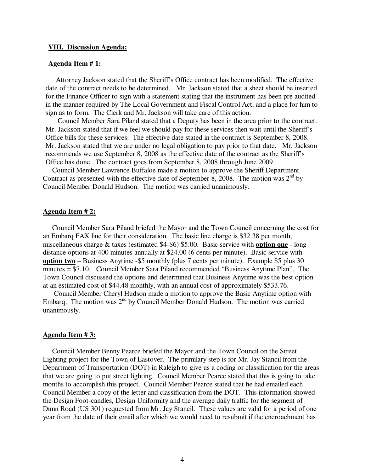#### **VIII. Discussion Agenda:**

#### **Agenda Item # 1:**

Attorney Jackson stated that the Sheriff's Office contract has been modified. The effective date of the contract needs to be determined. Mr. Jackson stated that a sheet should be inserted for the Finance Officer to sign with a statement stating that the instrument has been pre audited in the manner required by The Local Government and Fiscal Control Act, and a place for him to sign as to form. The Clerk and Mr. Jackson will take care of this action.

 Council Member Sara Piland stated that a Deputy has been in the area prior to the contract. Mr. Jackson stated that if we feel we should pay for these services then wait until the Sheriff's Office bills for these services. The effective date stated in the contract is September 8, 2008. Mr. Jackson stated that we are under no legal obligation to pay prior to that date. Mr. Jackson recommends we use September 8, 2008 as the effective date of the contract as the Sheriff's Office has done. The contract goes from September 8, 2008 through June 2009.

 Council Member Lawrence Buffaloe made a motion to approve the Sheriff Department Contract as presented with the effective date of September 8, 2008. The motion was  $2<sup>nd</sup>$  by Council Member Donald Hudson. The motion was carried unanimously.

#### **Agenda Item # 2:**

 Council Member Sara Piland briefed the Mayor and the Town Council concerning the cost for an Embarq FAX line for their consideration. The basic line charge is \$32.38 per month, miscellaneous charge & taxes (estimated \$4-\$6) \$5.00. Basic service with **option one** - long distance options at 400 minutes annually at \$24.00 (6 cents per minute). Basic service with **option two** – Business Anytime -\$5 monthly (plus 7 cents per minute). Example \$5 plus 30 minutes = \$7.10. Council Member Sara Piland recommended "Business Anytime Plan". The Town Council discussed the options and determined that Business Anytime was the best option at an estimated cost of \$44.48 monthly, with an annual cost of approximately \$533.76.

 Council Member Cheryl Hudson made a motion to approve the Basic Anytime option with Embarq. The motion was 2nd by Council Member Donald Hudson. The motion was carried unanimously.

#### **Agenda Item # 3:**

 Council Member Benny Pearce briefed the Mayor and the Town Council on the Street Lighting project for the Town of Eastover. The primilary step is for Mr. Jay Stancil from the Department of Transportation (DOT) in Raleigh to give us a coding or classification for the areas that we are going to put street lighting. Council Member Pearce stated that this is going to take months to accomplish this project. Council Member Pearce stated that he had emailed each Council Member a copy of the letter and classification from the DOT. This information showed the Design Foot-candles, Design Uniformity and the average daily traffic for the segment of Dunn Road (US 301) requested from Mr. Jay Stancil. These values are valid for a period of one year from the date of their email after which we would need to resubmit if the encroachment has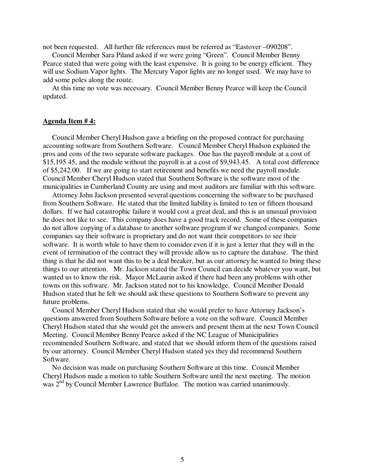not been requested. All further file references must be referred as "Eastover –090208".

 Council Member Sara Piland asked if we were going "Green". Council Member Benny Pearce stated that were going with the least expensive. It is going to be energy efficient. They will use Sodium Vapor lights. The Mercury Vapor lights are no longer used. We may have to add some poles along the route.

 At this time no vote was necessary. Council Member Benny Pearce will keep the Council updated.

#### **Agenda Item # 4:**

Council Member Cheryl Hudson gave a briefing on the proposed contract for purchasing accounting software from Southern Software. Council Member Cheryl Hudson explained the pros and cons of the two separate software packages. One has the payroll module at a cost of \$15,195.45, and the module without the payroll is at a cost of \$9,943.45. A total cost difference of \$5,242.00. If we are going to start retirement and benefits we need the payroll module. Council Member Cheryl Hudson stated that Southern Software is the software most of the municipalities in Cumberland County are using and most auditors are familiar with this software.

 Attorney John Jackson presented several questions concerning the software to be purchased from Southern Software. He stated that the limited liability is limited to ten or fifteen thousand dollars. If we had catastrophic failure it would cost a great deal, and this is an unusual provision he does not like to see. This company does have a good track record. Some of these companies do not allow copying of a database to another software program if we changed companies. Some companies say their software is proprietary and do not want their competitors to see their software. It is worth while to have them to consider even if it is just a letter that they will in the event of termination of the contract they will provide allow us to capture the database. The third thing is that he did not want this to be a deal breaker, but as our attorney he wanted to bring these things to our attention. Mr. Jackson stated the Town Council can decide whatever you want, but wanted us to know the risk. Mayor McLaurin asked if there had been any problems with other towns on this software. Mr. Jackson stated not to his knowledge. Council Member Donald Hudson stated that he felt we should ask these questions to Southern Software to prevent any future problems.

 Council Member Cheryl Hudson stated that she would prefer to have Attorney Jackson's questions answered from Southern Software before a vote on the software. Council Member Cheryl Hudson stated that she would get the answers and present them at the next Town Council Meeting. Council Member Benny Pearce asked if the NC League of Municipalities recommended Southern Software, and stated that we should inform them of the questions raised by our attorney. Council Member Cheryl Hudson stated yes they did recommend Southern Software.

 No decision was made on purchasing Southern Software at this time. Council Member Cheryl Hudson made a motion to table Southern Software until the next meeting. The motion was 2<sup>nd</sup> by Council Member Lawrence Buffaloe. The motion was carried unanimously.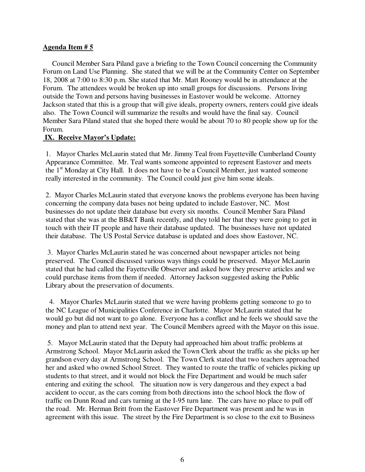### **Agenda Item # 5**

 Council Member Sara Piland gave a briefing to the Town Council concerning the Community Forum on Land Use Planning. She stated that we will be at the Community Center on September 18, 2008 at 7:00 to 8:30 p.m. She stated that Mr. Matt Rooney would be in attendance at the Forum. The attendees would be broken up into small groups for discussions. Persons living outside the Town and persons having businesses in Eastover would be welcome. Attorney Jackson stated that this is a group that will give ideals, property owners, renters could give ideals also. The Town Council will summarize the results and would have the final say. Council Member Sara Piland stated that she hoped there would be about 70 to 80 people show up for the Forum.

### **IX. Receive Mayor's Update:**

1. Mayor Charles McLaurin stated that Mr. Jimmy Teal from Fayetteville Cumberland County Appearance Committee. Mr. Teal wants someone appointed to represent Eastover and meets the  $1<sup>st</sup>$  Monday at City Hall. It does not have to be a Council Member, just wanted someone really interested in the community. The Council could just give him some ideals.

2. Mayor Charles McLaurin stated that everyone knows the problems everyone has been having concerning the company data bases not being updated to include Eastover, NC. Most businesses do not update their database but every six months. Council Member Sara Piland stated that she was at the BB&T Bank recently, and they told her that they were going to get in touch with their IT people and have their database updated. The businesses have not updated their database. The US Postal Service database is updated and does show Eastover, NC.

 3. Mayor Charles McLaurin stated he was concerned about newspaper articles not being preserved. The Council discussed various ways things could be preserved. Mayor McLaurin stated that he had called the Fayetteville Observer and asked how they preserve articles and we could purchase items from them if needed. Attorney Jackson suggested asking the Public Library about the preservation of documents.

 4. Mayor Charles McLaurin stated that we were having problems getting someone to go to the NC League of Municipalities Conference in Charlotte. Mayor McLaurin stated that he would go but did not want to go alone. Everyone has a conflict and he feels we should save the money and plan to attend next year. The Council Members agreed with the Mayor on this issue.

 5. Mayor McLaurin stated that the Deputy had approached him about traffic problems at Armstrong School. Mayor McLaurin asked the Town Clerk about the traffic as she picks up her grandson every day at Armstrong School. The Town Clerk stated that two teachers approached her and asked who owned School Street. They wanted to route the traffic of vehicles picking up students to that street, and it would not block the Fire Department and would be much safer entering and exiting the school. The situation now is very dangerous and they expect a bad accident to occur, as the cars coming from both directions into the school block the flow of traffic on Dunn Road and cars turning at the I-95 turn lane. The cars have no place to pull off the road. Mr. Herman Britt from the Eastover Fire Department was present and he was in agreement with this issue. The street by the Fire Department is so close to the exit to Business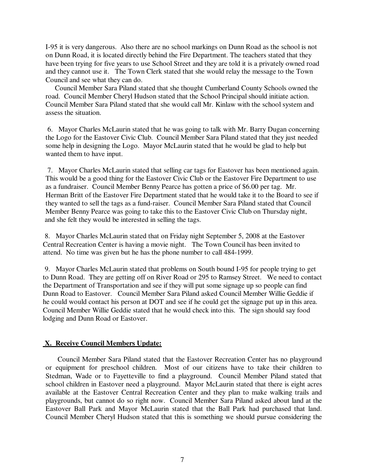I-95 it is very dangerous. Also there are no school markings on Dunn Road as the school is not on Dunn Road, it is located directly behind the Fire Department. The teachers stated that they have been trying for five years to use School Street and they are told it is a privately owned road and they cannot use it. The Town Clerk stated that she would relay the message to the Town Council and see what they can do.

 Council Member Sara Piland stated that she thought Cumberland County Schools owned the road. Council Member Cheryl Hudson stated that the School Principal should initiate action. Council Member Sara Piland stated that she would call Mr. Kinlaw with the school system and assess the situation.

 6. Mayor Charles McLaurin stated that he was going to talk with Mr. Barry Dugan concerning the Logo for the Eastover Civic Club. Council Member Sara Piland stated that they just needed some help in designing the Logo. Mayor McLaurin stated that he would be glad to help but wanted them to have input.

 7. Mayor Charles McLaurin stated that selling car tags for Eastover has been mentioned again. This would be a good thing for the Eastover Civic Club or the Eastover Fire Department to use as a fundraiser. Council Member Benny Pearce has gotten a price of \$6.00 per tag. Mr. Herman Britt of the Eastover Fire Department stated that he would take it to the Board to see if they wanted to sell the tags as a fund-raiser. Council Member Sara Piland stated that Council Member Benny Pearce was going to take this to the Eastover Civic Club on Thursday night, and she felt they would be interested in selling the tags.

 8. Mayor Charles McLaurin stated that on Friday night September 5, 2008 at the Eastover Central Recreation Center is having a movie night. The Town Council has been invited to attend. No time was given but he has the phone number to call 484-1999.

 9. Mayor Charles McLaurin stated that problems on South bound I-95 for people trying to get to Dunn Road. They are getting off on River Road or 295 to Ramsey Street. We need to contact the Department of Transportation and see if they will put some signage up so people can find Dunn Road to Eastover. Council Member Sara Piland asked Council Member Willie Geddie if he could would contact his person at DOT and see if he could get the signage put up in this area. Council Member Willie Geddie stated that he would check into this. The sign should say food lodging and Dunn Road or Eastover.

## **X. Receive Council Members Update:**

 Council Member Sara Piland stated that the Eastover Recreation Center has no playground or equipment for preschool children. Most of our citizens have to take their children to Stedman, Wade or to Fayetteville to find a playground. Council Member Piland stated that school children in Eastover need a playground. Mayor McLaurin stated that there is eight acres available at the Eastover Central Recreation Center and they plan to make walking trails and playgrounds, but cannot do so right now. Council Member Sara Piland asked about land at the Eastover Ball Park and Mayor McLaurin stated that the Ball Park had purchased that land. Council Member Cheryl Hudson stated that this is something we should pursue considering the